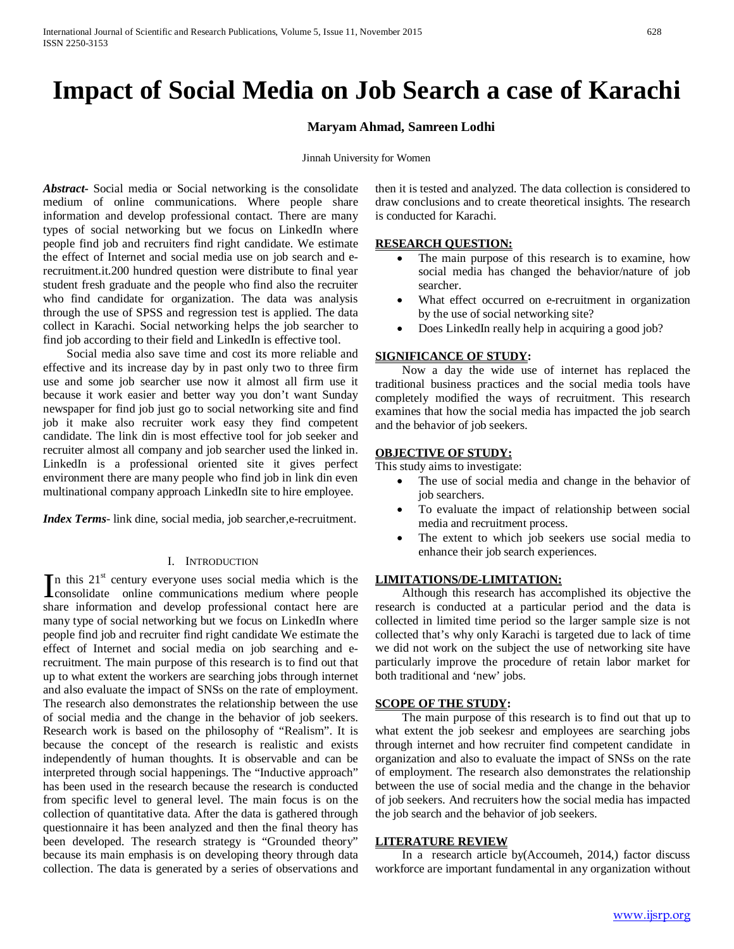# **Impact of Social Media on Job Search a case of Karachi**

## **Maryam Ahmad, Samreen Lodhi**

Jinnah University for Women

*Abstract***-** Social media or Social networking is the consolidate medium of online communications. Where people share information and develop professional contact. There are many types of social networking but we focus on LinkedIn where people find job and recruiters find right candidate. We estimate the effect of Internet and social media use on job search and erecruitment.it.200 hundred question were distribute to final year student fresh graduate and the people who find also the recruiter who find candidate for organization. The data was analysis through the use of SPSS and regression test is applied. The data collect in Karachi. Social networking helps the job searcher to find job according to their field and LinkedIn is effective tool.

 Social media also save time and cost its more reliable and effective and its increase day by in past only two to three firm use and some job searcher use now it almost all firm use it because it work easier and better way you don't want Sunday newspaper for find job just go to social networking site and find job it make also recruiter work easy they find competent candidate. The link din is most effective tool for job seeker and recruiter almost all company and job searcher used the linked in. LinkedIn is a professional oriented site it gives perfect environment there are many people who find job in link din even multinational company approach LinkedIn site to hire employee.

*Index Terms*- link dine, social media, job searcher, e-recruitment.

#### I. INTRODUCTION

n this  $21<sup>st</sup>$  century everyone uses social media which is the In this  $21^{\text{st}}$  century everyone uses social media which is the consolidate online communications medium where people share information and develop professional contact here are many type of social networking but we focus on LinkedIn where people find job and recruiter find right candidate We estimate the effect of Internet and social media on job searching and erecruitment. The main purpose of this research is to find out that up to what extent the workers are searching jobs through internet and also evaluate the impact of SNSs on the rate of employment. The research also demonstrates the relationship between the use of social media and the change in the behavior of job seekers. Research work is based on the philosophy of "Realism". It is because the concept of the research is realistic and exists independently of human thoughts. It is observable and can be interpreted through social happenings. The "Inductive approach" has been used in the research because the research is conducted from specific level to general level. The main focus is on the collection of quantitative data. After the data is gathered through questionnaire it has been analyzed and then the final theory has been developed. The research strategy is "Grounded theory" because its main emphasis is on developing theory through data collection. The data is generated by a series of observations and

then it is tested and analyzed. The data collection is considered to draw conclusions and to create theoretical insights. The research is conducted for Karachi.

## **RESEARCH QUESTION:**

- The main purpose of this research is to examine, how social media has changed the behavior/nature of job searcher.
- What effect occurred on e-recruitment in organization by the use of social networking site?
- Does LinkedIn really help in acquiring a good job?

## **SIGNIFICANCE OF STUDY:**

 Now a day the wide use of internet has replaced the traditional business practices and the social media tools have completely modified the ways of recruitment. This research examines that how the social media has impacted the job search and the behavior of job seekers.

## **OBJECTIVE OF STUDY:**

This study aims to investigate:

- The use of social media and change in the behavior of job searchers.
- To evaluate the impact of relationship between social media and recruitment process.
- The extent to which job seekers use social media to enhance their job search experiences.

## **LIMITATIONS/DE-LIMITATION:**

 Although this research has accomplished its objective the research is conducted at a particular period and the data is collected in limited time period so the larger sample size is not collected that's why only Karachi is targeted due to lack of time we did not work on the subject the use of networking site have particularly improve the procedure of retain labor market for both traditional and 'new' jobs.

## **SCOPE OF THE STUDY:**

 The main purpose of this research is to find out that up to what extent the job seekesr and employees are searching jobs through internet and how recruiter find competent candidate in organization and also to evaluate the impact of SNSs on the rate of employment. The research also demonstrates the relationship between the use of social media and the change in the behavior of job seekers. And recruiters how the social media has impacted the job search and the behavior of job seekers.

#### **LITERATURE REVIEW**

 In a research article by(Accoumeh, 2014,) factor discuss workforce are important fundamental in any organization without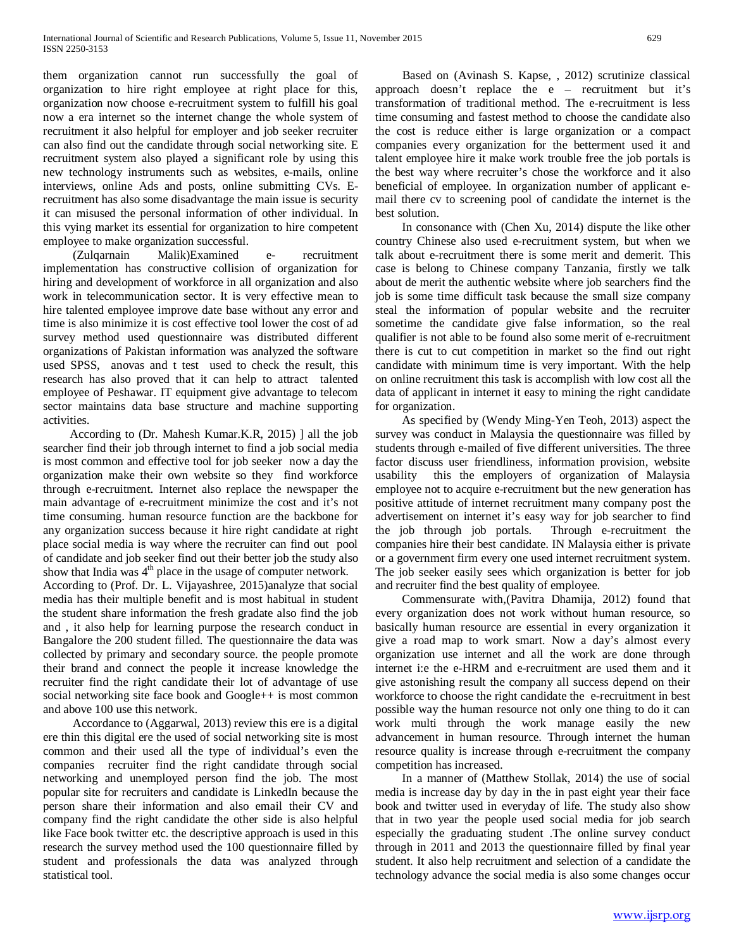them organization cannot run successfully the goal of organization to hire right employee at right place for this, organization now choose e-recruitment system to fulfill his goal now a era internet so the internet change the whole system of recruitment it also helpful for employer and job seeker recruiter can also find out the candidate through social networking site. E recruitment system also played a significant role by using this new technology instruments such as websites, e-mails, online interviews, online Ads and posts, online submitting CVs. Erecruitment has also some disadvantage the main issue is security it can misused the personal information of other individual. In this vying market its essential for organization to hire competent employee to make organization successful.

 (Zulqarnain Malik)Examined e- recruitment implementation has constructive collision of organization for hiring and development of workforce in all organization and also work in telecommunication sector. It is very effective mean to hire talented employee improve date base without any error and time is also minimize it is cost effective tool lower the cost of ad survey method used questionnaire was distributed different organizations of Pakistan information was analyzed the software used SPSS, anovas and t test used to check the result, this research has also proved that it can help to attract talented employee of Peshawar. IT equipment give advantage to telecom sector maintains data base structure and machine supporting activities.

 According to (Dr. Mahesh Kumar.K.R, 2015) ] all the job searcher find their job through internet to find a job social media is most common and effective tool for job seeker now a day the organization make their own website so they find workforce through e-recruitment. Internet also replace the newspaper the main advantage of e-recruitment minimize the cost and it's not time consuming. human resource function are the backbone for any organization success because it hire right candidate at right place social media is way where the recruiter can find out pool of candidate and job seeker find out their better job the study also show that India was 4<sup>th</sup> place in the usage of computer network.

According to (Prof. Dr. L. Vijayashree, 2015)analyze that social media has their multiple benefit and is most habitual in student the student share information the fresh gradate also find the job and , it also help for learning purpose the research conduct in Bangalore the 200 student filled. The questionnaire the data was collected by primary and secondary source. the people promote their brand and connect the people it increase knowledge the recruiter find the right candidate their lot of advantage of use social networking site face book and Google++ is most common and above 100 use this network.

 Accordance to (Aggarwal, 2013) review this ere is a digital ere thin this digital ere the used of social networking site is most common and their used all the type of individual's even the companies recruiter find the right candidate through social networking and unemployed person find the job. The most popular site for recruiters and candidate is LinkedIn because the person share their information and also email their CV and company find the right candidate the other side is also helpful like Face book twitter etc. the descriptive approach is used in this research the survey method used the 100 questionnaire filled by student and professionals the data was analyzed through statistical tool.

 Based on (Avinash S. Kapse, , 2012) scrutinize classical approach doesn't replace the e – recruitment but it's transformation of traditional method. The e-recruitment is less time consuming and fastest method to choose the candidate also the cost is reduce either is large organization or a compact companies every organization for the betterment used it and talent employee hire it make work trouble free the job portals is the best way where recruiter's chose the workforce and it also beneficial of employee. In organization number of applicant email there cv to screening pool of candidate the internet is the best solution.

 In consonance with (Chen Xu, 2014) dispute the like other country Chinese also used e-recruitment system, but when we talk about e-recruitment there is some merit and demerit. This case is belong to Chinese company Tanzania, firstly we talk about de merit the authentic website where job searchers find the job is some time difficult task because the small size company steal the information of popular website and the recruiter sometime the candidate give false information, so the real qualifier is not able to be found also some merit of e-recruitment there is cut to cut competition in market so the find out right candidate with minimum time is very important. With the help on online recruitment this task is accomplish with low cost all the data of applicant in internet it easy to mining the right candidate for organization.

 As specified by (Wendy Ming-Yen Teoh, 2013) aspect the survey was conduct in Malaysia the questionnaire was filled by students through e-mailed of five different universities. The three factor discuss user friendliness, information provision, website usability this the employers of organization of Malaysia employee not to acquire e-recruitment but the new generation has positive attitude of internet recruitment many company post the advertisement on internet it's easy way for job searcher to find the job through job portals. Through e-recruitment the companies hire their best candidate. IN Malaysia either is private or a government firm every one used internet recruitment system. The job seeker easily sees which organization is better for job and recruiter find the best quality of employee.

 Commensurate with,(Pavitra Dhamija, 2012) found that every organization does not work without human resource, so basically human resource are essential in every organization it give a road map to work smart. Now a day's almost every organization use internet and all the work are done through internet i:e the e-HRM and e-recruitment are used them and it give astonishing result the company all success depend on their workforce to choose the right candidate the e-recruitment in best possible way the human resource not only one thing to do it can work multi through the work manage easily the new advancement in human resource. Through internet the human resource quality is increase through e-recruitment the company competition has increased.

 In a manner of (Matthew Stollak, 2014) the use of social media is increase day by day in the in past eight year their face book and twitter used in everyday of life. The study also show that in two year the people used social media for job search especially the graduating student .The online survey conduct through in 2011 and 2013 the questionnaire filled by final year student. It also help recruitment and selection of a candidate the technology advance the social media is also some changes occur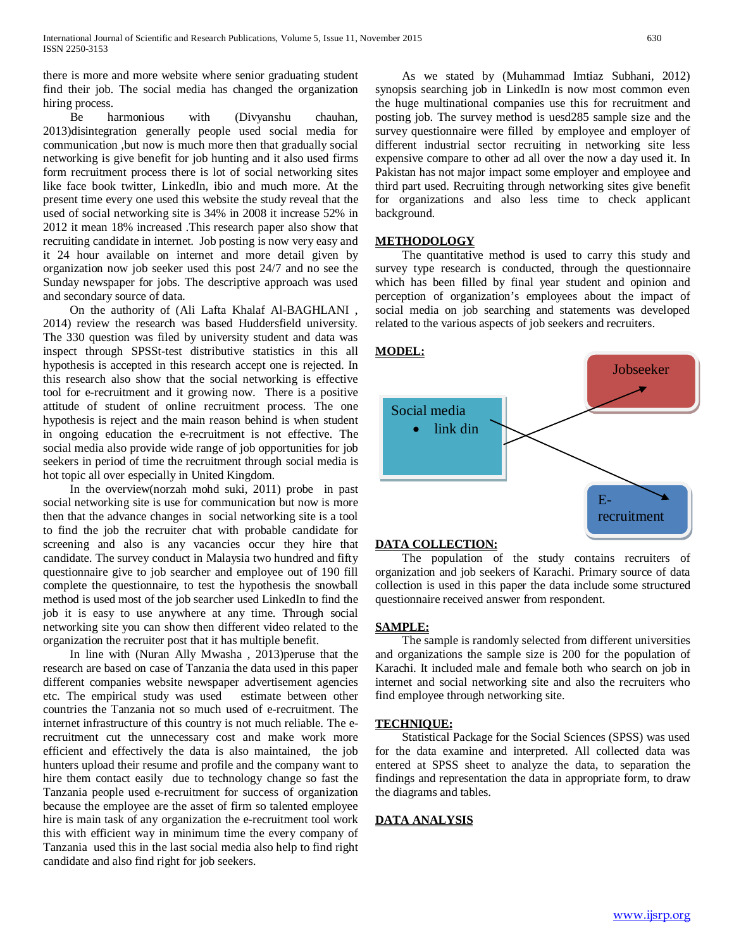there is more and more website where senior graduating student find their job. The social media has changed the organization hiring process.

 Be harmonious with (Divyanshu chauhan, 2013)disintegration generally people used social media for communication ,but now is much more then that gradually social networking is give benefit for job hunting and it also used firms form recruitment process there is lot of social networking sites like face book twitter, LinkedIn, ibio and much more. At the present time every one used this website the study reveal that the used of social networking site is 34% in 2008 it increase 52% in 2012 it mean 18% increased .This research paper also show that recruiting candidate in internet. Job posting is now very easy and it 24 hour available on internet and more detail given by organization now job seeker used this post 24/7 and no see the Sunday newspaper for jobs. The descriptive approach was used and secondary source of data.

 On the authority of (Ali Lafta Khalaf Al-BAGHLANI , 2014) review the research was based Huddersfield university. The 330 question was filed by university student and data was inspect through SPSSt-test distributive statistics in this all hypothesis is accepted in this research accept one is rejected. In this research also show that the social networking is effective tool for e-recruitment and it growing now. There is a positive attitude of student of online recruitment process. The one hypothesis is reject and the main reason behind is when student in ongoing education the e-recruitment is not effective. The social media also provide wide range of job opportunities for job seekers in period of time the recruitment through social media is hot topic all over especially in United Kingdom.

 In the overview(norzah mohd suki, 2011) probe in past social networking site is use for communication but now is more then that the advance changes in social networking site is a tool to find the job the recruiter chat with probable candidate for screening and also is any vacancies occur they hire that candidate. The survey conduct in Malaysia two hundred and fifty questionnaire give to job searcher and employee out of 190 fill complete the questionnaire, to test the hypothesis the snowball method is used most of the job searcher used LinkedIn to find the job it is easy to use anywhere at any time. Through social networking site you can show then different video related to the organization the recruiter post that it has multiple benefit.

 In line with (Nuran Ally Mwasha , 2013)peruse that the research are based on case of Tanzania the data used in this paper different companies website newspaper advertisement agencies etc. The empirical study was used estimate between other countries the Tanzania not so much used of e-recruitment. The internet infrastructure of this country is not much reliable. The erecruitment cut the unnecessary cost and make work more efficient and effectively the data is also maintained, the job hunters upload their resume and profile and the company want to hire them contact easily due to technology change so fast the Tanzania people used e-recruitment for success of organization because the employee are the asset of firm so talented employee hire is main task of any organization the e-recruitment tool work this with efficient way in minimum time the every company of Tanzania used this in the last social media also help to find right candidate and also find right for job seekers.

 As we stated by (Muhammad Imtiaz Subhani, 2012) synopsis searching job in LinkedIn is now most common even the huge multinational companies use this for recruitment and posting job. The survey method is uesd285 sample size and the survey questionnaire were filled by employee and employer of different industrial sector recruiting in networking site less expensive compare to other ad all over the now a day used it. In Pakistan has not major impact some employer and employee and third part used. Recruiting through networking sites give benefit for organizations and also less time to check applicant background.

## **METHODOLOGY**

 The quantitative method is used to carry this study and survey type research is conducted, through the questionnaire which has been filled by final year student and opinion and perception of organization's employees about the impact of social media on job searching and statements was developed related to the various aspects of job seekers and recruiters.



## **DATA COLLECTION:**

 The population of the study contains recruiters of organization and job seekers of Karachi. Primary source of data collection is used in this paper the data include some structured questionnaire received answer from respondent.

#### **SAMPLE:**

 The sample is randomly selected from different universities and organizations the sample size is 200 for the population of Karachi. It included male and female both who search on job in internet and social networking site and also the recruiters who find employee through networking site.

#### **TECHNIQUE:**

 Statistical Package for the Social Sciences (SPSS) was used for the data examine and interpreted. All collected data was entered at SPSS sheet to analyze the data, to separation the findings and representation the data in appropriate form, to draw the diagrams and tables.

## **DATA ANALYSIS**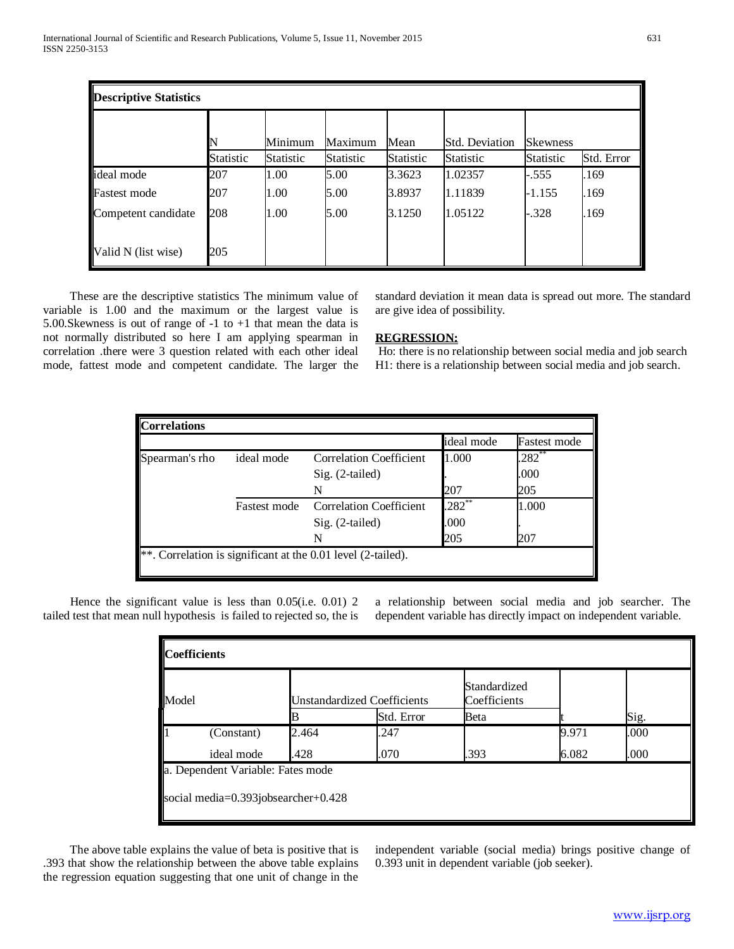| <b>Descriptive Statistics</b> |                       |                      |                      |                   |                                    |                                     |            |
|-------------------------------|-----------------------|----------------------|----------------------|-------------------|------------------------------------|-------------------------------------|------------|
|                               | N<br><b>Statistic</b> | Minimum<br>Statistic | Maximum<br>Statistic | Mean<br>Statistic | <b>Std. Deviation</b><br>Statistic | <b>Skewness</b><br><b>Statistic</b> | Std. Error |
| ideal mode                    | 207                   | 1.00                 | 5.00                 | 3.3623            | 1.02357                            | $-.555$                             | .169       |
| <b>Fastest mode</b>           | 207                   | 1.00                 | 5.00                 | 3.8937            | 1.11839                            | $-1.155$                            | .169       |
| Competent candidate           | 208                   | 1.00                 | 5.00                 | 3.1250            | 1.05122                            | $-.328$                             | .169       |
| Valid N (list wise)           | 205                   |                      |                      |                   |                                    |                                     |            |

 These are the descriptive statistics The minimum value of variable is 1.00 and the maximum or the largest value is 5.00.Skewness is out of range of -1 to +1 that mean the data is not normally distributed so here I am applying spearman in correlation .there were 3 question related with each other ideal mode, fattest mode and competent candidate. The larger the standard deviation it mean data is spread out more. The standard are give idea of possibility.

## **REGRESSION:**

Ho: there is no relationship between social media and job search H1: there is a relationship between social media and job search.

|                |                     |                                | ideal mode | <b>Fastest mode</b> |
|----------------|---------------------|--------------------------------|------------|---------------------|
| Spearman's rho | ideal mode          | <b>Correlation Coefficient</b> | 1.000      | $.282***$           |
|                |                     | $Sig. (2-tailed)$              |            | .000                |
|                |                     | N                              | 207        | 205                 |
|                | <b>Fastest mode</b> | <b>Correlation Coefficient</b> | $.282**$   | 1.000               |
|                |                     | Sig. (2-tailed)                | .000       |                     |
|                |                     |                                | 205        | 207                 |

Hence the significant value is less than 0.05(i.e. 0.01) 2 tailed test that mean null hypothesis is failed to rejected so, the is a relationship between social media and job searcher. The dependent variable has directly impact on independent variable.

| <b>Coefficients</b> |                                            |       |                                    |                              |       |      |  |
|---------------------|--------------------------------------------|-------|------------------------------------|------------------------------|-------|------|--|
| Model               |                                            |       | <b>Unstandardized Coefficients</b> | Standardized<br>Coefficients |       | Sig. |  |
|                     |                                            |       | Std. Error                         | Beta                         |       |      |  |
|                     | (Constant)                                 | 2.464 | .247                               |                              | 9.971 | .000 |  |
|                     | ideal mode                                 | .428  | .070                               | .393                         | 6.082 | .000 |  |
|                     | a. Dependent Variable: Fates mode          |       |                                    |                              |       |      |  |
|                     | social media= $0.393$ jobsearcher+ $0.428$ |       |                                    |                              |       |      |  |

 The above table explains the value of beta is positive that is .393 that show the relationship between the above table explains the regression equation suggesting that one unit of change in the

independent variable (social media) brings positive change of 0.393 unit in dependent variable (job seeker).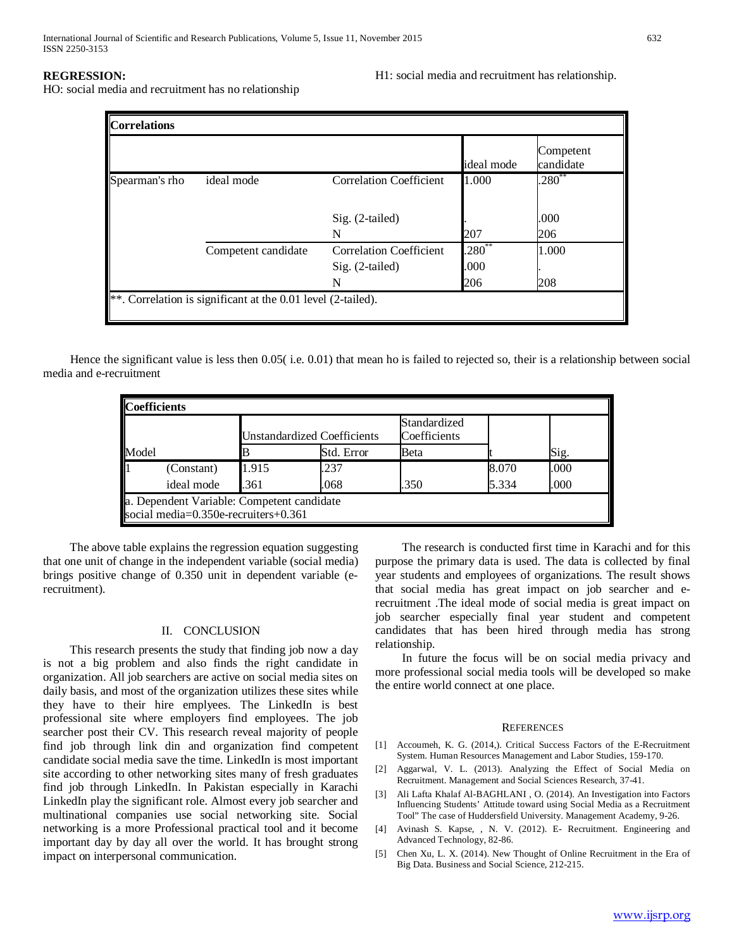# **REGRESSION:**

HO: social media and recruitment has no relationship

H1: social media and recruitment has relationship.

| <b>Correlations</b> |                                                                       |                                |             |                        |  |  |
|---------------------|-----------------------------------------------------------------------|--------------------------------|-------------|------------------------|--|--|
|                     |                                                                       |                                | ideal mode  | Competent<br>candidate |  |  |
| Spearman's rho      | ideal mode                                                            | <b>Correlation Coefficient</b> | 1.000       | $.280^{**}$            |  |  |
|                     |                                                                       | Sig. (2-tailed)<br>N           | 207         | .000<br>206            |  |  |
|                     | Competent candidate                                                   | <b>Correlation Coefficient</b> | $.280^{**}$ | 1.000                  |  |  |
|                     |                                                                       | $Sig. (2-tailed)$              | .000        |                        |  |  |
|                     |                                                                       | N                              | 206         | 208                    |  |  |
|                     | $\ast\ast$ . Correlation is significant at the 0.01 level (2-tailed). |                                |             |                        |  |  |

 Hence the significant value is less then 0.05( i.e. 0.01) that mean ho is failed to rejected so, their is a relationship between social media and e-recruitment

| <b>Coefficients</b> |                                                                                    |                             |            |                              |       |      |  |  |
|---------------------|------------------------------------------------------------------------------------|-----------------------------|------------|------------------------------|-------|------|--|--|
| Model               |                                                                                    | Unstandardized Coefficients |            | Standardized<br>Coefficients |       |      |  |  |
|                     |                                                                                    |                             | Std. Error | Beta                         |       | Sig. |  |  |
|                     | (Constant)                                                                         | 1.915                       | .237       |                              | 8.070 | .000 |  |  |
|                     | ideal mode                                                                         | .361                        | .068       | .350                         | 5.334 | .000 |  |  |
|                     | a. Dependent Variable: Competent candidate<br>social media=0.350e-recruiters+0.361 |                             |            |                              |       |      |  |  |

 The above table explains the regression equation suggesting that one unit of change in the independent variable (social media) brings positive change of 0.350 unit in dependent variable (erecruitment).

#### II. CONCLUSION

 This research presents the study that finding job now a day is not a big problem and also finds the right candidate in organization. All job searchers are active on social media sites on daily basis, and most of the organization utilizes these sites while they have to their hire emplyees. The LinkedIn is best professional site where employers find employees. The job searcher post their CV. This research reveal majority of people find job through link din and organization find competent candidate social media save the time. LinkedIn is most important site according to other networking sites many of fresh graduates find job through LinkedIn. In Pakistan especially in Karachi LinkedIn play the significant role. Almost every job searcher and multinational companies use social networking site. Social networking is a more Professional practical tool and it become important day by day all over the world. It has brought strong impact on interpersonal communication.

 The research is conducted first time in Karachi and for this purpose the primary data is used. The data is collected by final year students and employees of organizations. The result shows that social media has great impact on job searcher and erecruitment .The ideal mode of social media is great impact on job searcher especially final year student and competent candidates that has been hired through media has strong relationship.

 In future the focus will be on social media privacy and more professional social media tools will be developed so make the entire world connect at one place.

#### **REFERENCES**

- [1] Accoumeh, K. G. (2014,). Critical Success Factors of the E-Recruitment System. Human Resources Management and Labor Studies, 159-170.
- [2] Aggarwal, V. L. (2013). Analyzing the Effect of Social Media on Recruitment. Management and Social Sciences Research, 37-41.
- [3] Ali Lafta Khalaf Al-BAGHLANI , O. (2014). An Investigation into Factors Influencing Students' Attitude toward using Social Media as a Recruitment Tool" The case of Huddersfield University. Management Academy, 9-26.
- [4] Avinash S. Kapse, , N. V. (2012). E- Recruitment. Engineering and Advanced Technology, 82-86.
- [5] Chen Xu, L. X. (2014). New Thought of Online Recruitment in the Era of Big Data. Business and Social Science, 212-215.